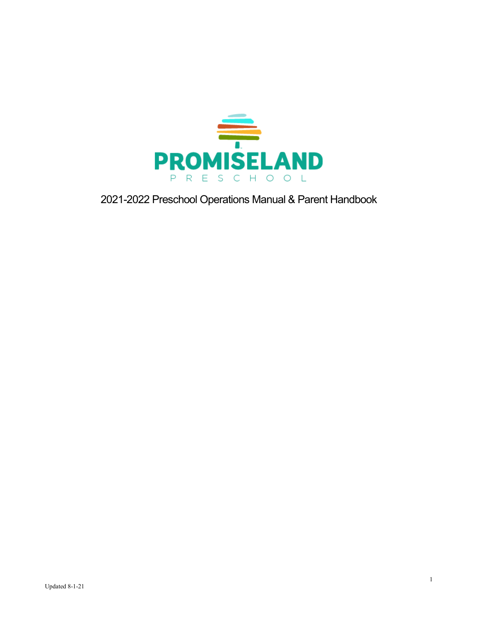

2021-2022 Preschool Operations Manual & Parent Handbook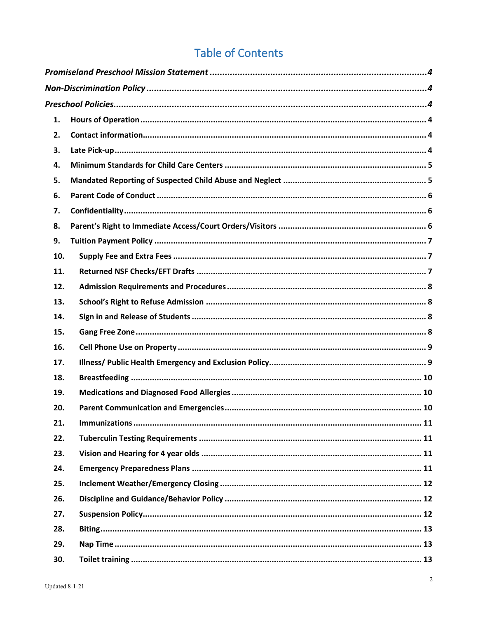# **Table of Contents**

| 1.  |  |  |
|-----|--|--|
| 2.  |  |  |
| 3.  |  |  |
| 4.  |  |  |
| 5.  |  |  |
| 6.  |  |  |
| 7.  |  |  |
| 8.  |  |  |
| 9.  |  |  |
| 10. |  |  |
| 11. |  |  |
| 12. |  |  |
| 13. |  |  |
| 14. |  |  |
| 15. |  |  |
| 16. |  |  |
| 17. |  |  |
| 18. |  |  |
| 19. |  |  |
| 20. |  |  |
| 21. |  |  |
| 22. |  |  |
| 23. |  |  |
| 24. |  |  |
| 25. |  |  |
| 26. |  |  |
| 27. |  |  |
| 28. |  |  |
| 29. |  |  |
| 30. |  |  |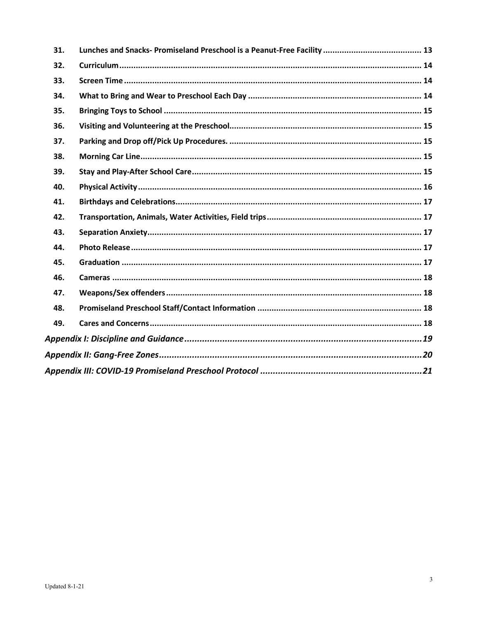| 31. |  |  |
|-----|--|--|
| 32. |  |  |
| 33. |  |  |
| 34. |  |  |
| 35. |  |  |
| 36. |  |  |
| 37. |  |  |
| 38. |  |  |
| 39. |  |  |
| 40. |  |  |
| 41. |  |  |
| 42. |  |  |
| 43. |  |  |
| 44. |  |  |
| 45. |  |  |
| 46. |  |  |
| 47. |  |  |
| 48. |  |  |
| 49. |  |  |
|     |  |  |
|     |  |  |
|     |  |  |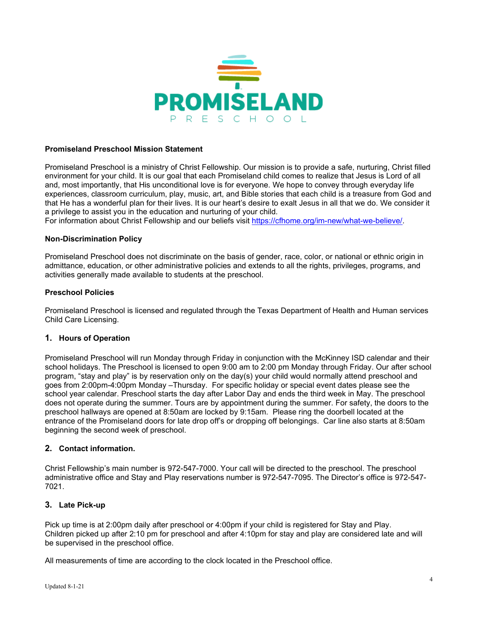

#### <span id="page-3-0"></span>**Promiseland Preschool Mission Statement**

Promiseland Preschool is a ministry of Christ Fellowship. Our mission is to provide a safe, nurturing, Christ filled environment for your child. It is our goal that each Promiseland child comes to realize that Jesus is Lord of all and, most importantly, that His unconditional love is for everyone. We hope to convey through everyday life experiences, classroom curriculum, play, music, art, and Bible stories that each child is a treasure from God and that He has a wonderful plan for their lives. It is our heart's desire to exalt Jesus in all that we do. We consider it a privilege to assist you in the education and nurturing of your child.

For information about Christ Fellowship and our beliefs visit [https://cfhome.org/im-new/what-we-believe/.](https://cfhome.org/im-new/what-we-believe/)

#### <span id="page-3-1"></span>**Non-Discrimination Policy**

Promiseland Preschool does not discriminate on the basis of gender, race, color, or national or ethnic origin in admittance, education, or other administrative policies and extends to all the rights, privileges, programs, and activities generally made available to students at the preschool.

#### <span id="page-3-2"></span>**Preschool Policies**

Promiseland Preschool is licensed and regulated through the Texas Department of Health and Human services Child Care Licensing.

#### <span id="page-3-3"></span>**1. Hours of Operation**

Promiseland Preschool will run Monday through Friday in conjunction with the McKinney ISD calendar and their school holidays. The Preschool is licensed to open 9:00 am to 2:00 pm Monday through Friday. Our after school program, "stay and play" is by reservation only on the day(s) your child would normally attend preschool and goes from 2:00pm-4:00pm Monday –Thursday. For specific holiday or special event dates please see the school year calendar. Preschool starts the day after Labor Day and ends the third week in May. The preschool does not operate during the summer. Tours are by appointment during the summer. For safety, the doors to the preschool hallways are opened at 8:50am are locked by 9:15am. Please ring the doorbell located at the entrance of the Promiseland doors for late drop off's or dropping off belongings. Car line also starts at 8:50am beginning the second week of preschool.

#### <span id="page-3-4"></span>**2. Contact information.**

Christ Fellowship's main number is 972-547-7000. Your call will be directed to the preschool. The preschool administrative office and Stay and Play reservations number is 972-547-7095. The Director's office is 972-547- 7021.

#### <span id="page-3-5"></span>**3. Late Pick-up**

Pick up time is at 2:00pm daily after preschool or 4:00pm if your child is registered for Stay and Play. Children picked up after 2:10 pm for preschool and after 4:10pm for stay and play are considered late and will be supervised in the preschool office.

All measurements of time are according to the clock located in the Preschool office.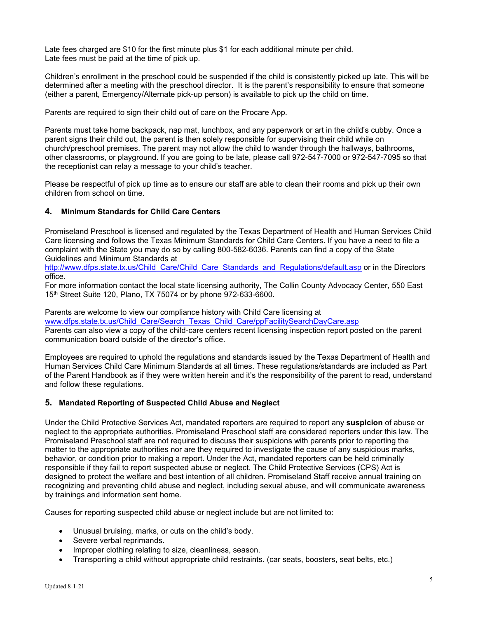Late fees charged are \$10 for the first minute plus \$1 for each additional minute per child. Late fees must be paid at the time of pick up.

Children's enrollment in the preschool could be suspended if the child is consistently picked up late. This will be determined after a meeting with the preschool director. It is the parent's responsibility to ensure that someone (either a parent, Emergency/Alternate pick-up person) is available to pick up the child on time.

Parents are required to sign their child out of care on the Procare App.

Parents must take home backpack, nap mat, lunchbox, and any paperwork or art in the child's cubby. Once a parent signs their child out, the parent is then solely responsible for supervising their child while on church/preschool premises. The parent may not allow the child to wander through the hallways, bathrooms, other classrooms, or playground. If you are going to be late, please call 972-547-7000 or 972-547-7095 so that the receptionist can relay a message to your child's teacher.

Please be respectful of pick up time as to ensure our staff are able to clean their rooms and pick up their own children from school on time.

#### <span id="page-4-0"></span>**4. Minimum Standards for Child Care Centers**

Promiseland Preschool is licensed and regulated by the Texas Department of Health and Human Services Child Care licensing and follows the Texas Minimum Standards for Child Care Centers. If you have a need to file a complaint with the State you may do so by calling 800-582-6036. Parents can find a copy of the State Guidelines and Minimum Standards at

[http://www.dfps.state.tx.us/Child\\_Care/Child\\_Care\\_Standards\\_and\\_Regulations/default.asp](http://www.dfps.state.tx.us/Child_Care/Child_Care_Standards_and_Regulations/default.asp) or in the Directors office.

For more information contact the local state licensing authority, The Collin County Advocacy Center, 550 East 15th Street Suite 120, Plano, TX 75074 or by phone 972-633-6600.

Parents are welcome to view our compliance history with Child Care licensing at [www.dfps.state.tx.us/Child\\_Care/Search\\_Texas\\_Child\\_Care/ppFacilitySearchDayCare.asp](http://www.dfps.state.tx.us/Child_Care/Search_Texas_Child_Care/ppFacilitySearchDayCare.asp) Parents can also view a copy of the child-care centers recent licensing inspection report posted on the parent communication board outside of the director's office.

Employees are required to uphold the regulations and standards issued by the Texas Department of Health and Human Services Child Care Minimum Standards at all times. These regulations/standards are included as Part of the Parent Handbook as if they were written herein and it's the responsibility of the parent to read, understand and follow these regulations.

#### <span id="page-4-1"></span>**5. Mandated Reporting of Suspected Child Abuse and Neglect**

Under the Child Protective Services Act, mandated reporters are required to report any **suspicion** of abuse or neglect to the appropriate authorities. Promiseland Preschool staff are considered reporters under this law. The Promiseland Preschool staff are not required to discuss their suspicions with parents prior to reporting the matter to the appropriate authorities nor are they required to investigate the cause of any suspicious marks, behavior, or condition prior to making a report. Under the Act, mandated reporters can be held criminally responsible if they fail to report suspected abuse or neglect. The Child Protective Services (CPS) Act is designed to protect the welfare and best intention of all children. Promiseland Staff receive annual training on recognizing and preventing child abuse and neglect, including sexual abuse, and will communicate awareness by trainings and information sent home.

Causes for reporting suspected child abuse or neglect include but are not limited to:

- Unusual bruising, marks, or cuts on the child's body.
- Severe verbal reprimands.
- Improper clothing relating to size, cleanliness, season.
- Transporting a child without appropriate child restraints. (car seats, boosters, seat belts, etc.)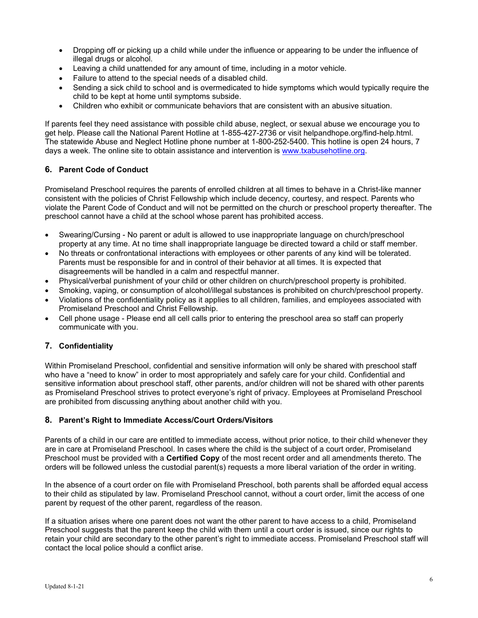- Dropping off or picking up a child while under the influence or appearing to be under the influence of illegal drugs or alcohol.
- Leaving a child unattended for any amount of time, including in a motor vehicle.
- Failure to attend to the special needs of a disabled child.
- Sending a sick child to school and is overmedicated to hide symptoms which would typically require the child to be kept at home until symptoms subside.
- Children who exhibit or communicate behaviors that are consistent with an abusive situation.

If parents feel they need assistance with possible child abuse, neglect, or sexual abuse we encourage you to get help. Please call the National Parent Hotline at 1-855-427-2736 or visit helpandhope.org/find-help.html. The statewide Abuse and Neglect Hotline phone number at 1-800-252-5400. This hotline is open 24 hours, 7 days a week. The online site to obtain assistance and intervention is [www.txabusehotline.org.](http://www.txabusehotline.org/)

## <span id="page-5-0"></span>**6. Parent Code of Conduct**

Promiseland Preschool requires the parents of enrolled children at all times to behave in a Christ-like manner consistent with the policies of Christ Fellowship which include decency, courtesy, and respect. Parents who violate the Parent Code of Conduct and will not be permitted on the church or preschool property thereafter. The preschool cannot have a child at the school whose parent has prohibited access.

- Swearing/Cursing No parent or adult is allowed to use inappropriate language on church/preschool property at any time. At no time shall inappropriate language be directed toward a child or staff member.
- No threats or confrontational interactions with employees or other parents of any kind will be tolerated. Parents must be responsible for and in control of their behavior at all times. It is expected that disagreements will be handled in a calm and respectful manner.
- Physical/verbal punishment of your child or other children on church/preschool property is prohibited.
- Smoking, vaping, or consumption of alcohol/illegal substances is prohibited on church/preschool property.
- Violations of the confidentiality policy as it applies to all children, families, and employees associated with Promiseland Preschool and Christ Fellowship.
- Cell phone usage Please end all cell calls prior to entering the preschool area so staff can properly communicate with you.

## <span id="page-5-1"></span>**7. Confidentiality**

Within Promiseland Preschool, confidential and sensitive information will only be shared with preschool staff who have a "need to know" in order to most appropriately and safely care for your child. Confidential and sensitive information about preschool staff, other parents, and/or children will not be shared with other parents as Promiseland Preschool strives to protect everyone's right of privacy. Employees at Promiseland Preschool are prohibited from discussing anything about another child with you.

## <span id="page-5-2"></span>**8. Parent's Right to Immediate Access/Court Orders/Visitors**

Parents of a child in our care are entitled to immediate access, without prior notice, to their child whenever they are in care at Promiseland Preschool. In cases where the child is the subject of a court order, Promiseland Preschool must be provided with a **Certified Copy** of the most recent order and all amendments thereto. The orders will be followed unless the custodial parent(s) requests a more liberal variation of the order in writing.

In the absence of a court order on file with Promiseland Preschool, both parents shall be afforded equal access to their child as stipulated by law. Promiseland Preschool cannot, without a court order, limit the access of one parent by request of the other parent, regardless of the reason.

If a situation arises where one parent does not want the other parent to have access to a child, Promiseland Preschool suggests that the parent keep the child with them until a court order is issued, since our rights to retain your child are secondary to the other parent's right to immediate access. Promiseland Preschool staff will contact the local police should a conflict arise.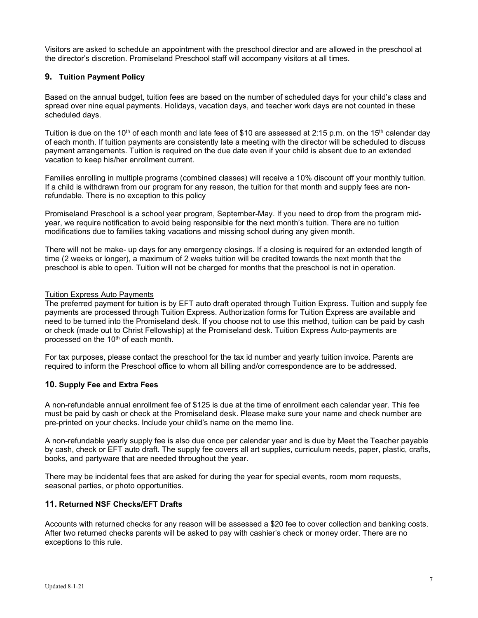Visitors are asked to schedule an appointment with the preschool director and are allowed in the preschool at the director's discretion. Promiseland Preschool staff will accompany visitors at all times.

## <span id="page-6-0"></span>**9. Tuition Payment Policy**

Based on the annual budget, tuition fees are based on the number of scheduled days for your child's class and spread over nine equal payments. Holidays, vacation days, and teacher work days are not counted in these scheduled days.

Tuition is due on the 10<sup>th</sup> of each month and late fees of \$10 are assessed at 2:15 p.m. on the 15<sup>th</sup> calendar day of each month. If tuition payments are consistently late a meeting with the director will be scheduled to discuss payment arrangements. Tuition is required on the due date even if your child is absent due to an extended vacation to keep his/her enrollment current.

Families enrolling in multiple programs (combined classes) will receive a 10% discount off your monthly tuition. If a child is withdrawn from our program for any reason, the tuition for that month and supply fees are nonrefundable. There is no exception to this policy

Promiseland Preschool is a school year program, September-May. If you need to drop from the program midyear, we require notification to avoid being responsible for the next month's tuition. There are no tuition modifications due to families taking vacations and missing school during any given month.

There will not be make- up days for any emergency closings. If a closing is required for an extended length of time (2 weeks or longer), a maximum of 2 weeks tuition will be credited towards the next month that the preschool is able to open. Tuition will not be charged for months that the preschool is not in operation.

#### Tuition Express Auto Payments

The preferred payment for tuition is by EFT auto draft operated through Tuition Express. Tuition and supply fee payments are processed through Tuition Express. Authorization forms for Tuition Express are available and need to be turned into the Promiseland desk. If you choose not to use this method, tuition can be paid by cash or check (made out to Christ Fellowship) at the Promiseland desk. Tuition Express Auto-payments are processed on the 10<sup>th</sup> of each month.

For tax purposes, please contact the preschool for the tax id number and yearly tuition invoice. Parents are required to inform the Preschool office to whom all billing and/or correspondence are to be addressed.

## <span id="page-6-1"></span>**10. Supply Fee and Extra Fees**

A non-refundable annual enrollment fee of \$125 is due at the time of enrollment each calendar year. This fee must be paid by cash or check at the Promiseland desk. Please make sure your name and check number are pre-printed on your checks. Include your child's name on the memo line.

A non-refundable yearly supply fee is also due once per calendar year and is due by Meet the Teacher payable by cash, check or EFT auto draft. The supply fee covers all art supplies, curriculum needs, paper, plastic, crafts, books, and partyware that are needed throughout the year.

There may be incidental fees that are asked for during the year for special events, room mom requests, seasonal parties, or photo opportunities.

## <span id="page-6-2"></span>**11. Returned NSF Checks/EFT Drafts**

Accounts with returned checks for any reason will be assessed a \$20 fee to cover collection and banking costs. After two returned checks parents will be asked to pay with cashier's check or money order. There are no exceptions to this rule.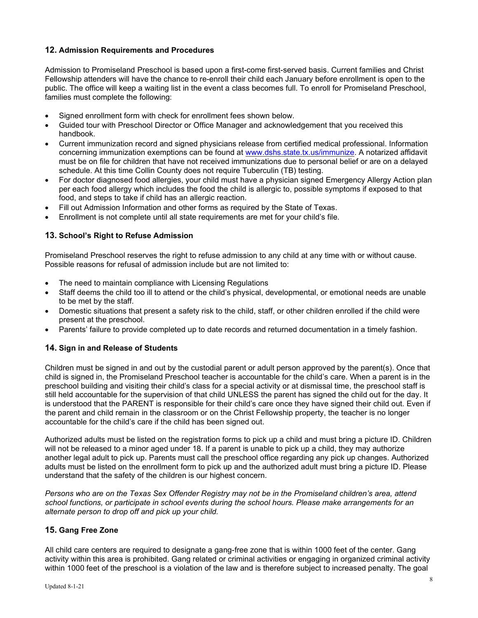## <span id="page-7-0"></span>**12. Admission Requirements and Procedures**

Admission to Promiseland Preschool is based upon a first-come first-served basis. Current families and Christ Fellowship attenders will have the chance to re-enroll their child each January before enrollment is open to the public. The office will keep a waiting list in the event a class becomes full. To enroll for Promiseland Preschool, families must complete the following:

- Signed enrollment form with check for enrollment fees shown below.
- Guided tour with Preschool Director or Office Manager and acknowledgement that you received this handbook.
- Current immunization record and signed physicians release from certified medical professional. Information concerning immunization exemptions can be found at [www.dshs.state.tx.us/immunize.](http://www.dshs.state.tx.us/immunize) A notarized affidavit must be on file for children that have not received immunizations due to personal belief or are on a delayed schedule. At this time Collin County does not require Tuberculin (TB) testing.
- For doctor diagnosed food allergies, your child must have a physician signed Emergency Allergy Action plan per each food allergy which includes the food the child is allergic to, possible symptoms if exposed to that food, and steps to take if child has an allergic reaction.
- Fill out Admission Information and other forms as required by the State of Texas.
- Enrollment is not complete until all state requirements are met for your child's file.

## <span id="page-7-1"></span>**13. School's Right to Refuse Admission**

Promiseland Preschool reserves the right to refuse admission to any child at any time with or without cause. Possible reasons for refusal of admission include but are not limited to:

- The need to maintain compliance with Licensing Regulations
- Staff deems the child too ill to attend or the child's physical, developmental, or emotional needs are unable to be met by the staff.
- Domestic situations that present a safety risk to the child, staff, or other children enrolled if the child were present at the preschool.
- Parents' failure to provide completed up to date records and returned documentation in a timely fashion.

#### <span id="page-7-2"></span>**14. Sign in and Release of Students**

Children must be signed in and out by the custodial parent or adult person approved by the parent(s). Once that child is signed in, the Promiseland Preschool teacher is accountable for the child's care. When a parent is in the preschool building and visiting their child's class for a special activity or at dismissal time, the preschool staff is still held accountable for the supervision of that child UNLESS the parent has signed the child out for the day. It is understood that the PARENT is responsible for their child's care once they have signed their child out. Even if the parent and child remain in the classroom or on the Christ Fellowship property, the teacher is no longer accountable for the child's care if the child has been signed out.

Authorized adults must be listed on the registration forms to pick up a child and must bring a picture ID. Children will not be released to a minor aged under 18. If a parent is unable to pick up a child, they may authorize another legal adult to pick up. Parents must call the preschool office regarding any pick up changes. Authorized adults must be listed on the enrollment form to pick up and the authorized adult must bring a picture ID. Please understand that the safety of the children is our highest concern.

*Persons who are on the Texas Sex Offender Registry may not be in the Promiseland children's area, attend school functions, or participate in school events during the school hours. Please make arrangements for an alternate person to drop off and pick up your child.*

## <span id="page-7-3"></span>**15. Gang Free Zone**

All child care centers are required to designate a gang-free zone that is within 1000 feet of the center. Gang activity within this area is prohibited. Gang related or criminal activities or engaging in organized criminal activity within 1000 feet of the preschool is a violation of the law and is therefore subject to increased penalty. The goal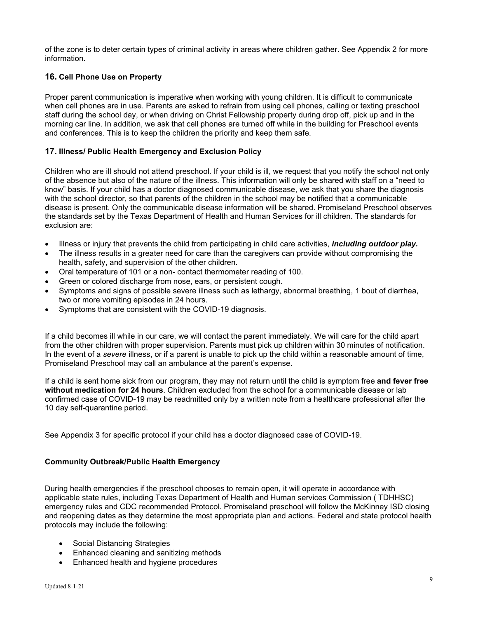of the zone is to deter certain types of criminal activity in areas where children gather. See Appendix 2 for more information.

## <span id="page-8-0"></span>**16. Cell Phone Use on Property**

Proper parent communication is imperative when working with young children. It is difficult to communicate when cell phones are in use. Parents are asked to refrain from using cell phones, calling or texting preschool staff during the school day, or when driving on Christ Fellowship property during drop off, pick up and in the morning car line. In addition, we ask that cell phones are turned off while in the building for Preschool events and conferences. This is to keep the children the priority and keep them safe.

#### <span id="page-8-1"></span>**17. Illness/ Public Health Emergency and Exclusion Policy**

Children who are ill should not attend preschool. If your child is ill, we request that you notify the school not only of the absence but also of the nature of the illness. This information will only be shared with staff on a "need to know" basis. If your child has a doctor diagnosed communicable disease, we ask that you share the diagnosis with the school director, so that parents of the children in the school may be notified that a communicable disease is present. Only the communicable disease information will be shared. Promiseland Preschool observes the standards set by the Texas Department of Health and Human Services for ill children. The standards for exclusion are:

- Illness or injury that prevents the child from participating in child care activities, *including outdoor play.*
- The illness results in a greater need for care than the caregivers can provide without compromising the health, safety, and supervision of the other children.
- Oral temperature of 101 or a non- contact thermometer reading of 100.
- Green or colored discharge from nose, ears, or persistent cough.
- Symptoms and signs of possible severe illness such as lethargy, abnormal breathing, 1 bout of diarrhea, two or more vomiting episodes in 24 hours.
- Symptoms that are consistent with the COVID-19 diagnosis.

If a child becomes ill while in our care, we will contact the parent immediately. We will care for the child apart from the other children with proper supervision. Parents must pick up children within 30 minutes of notification. In the event of a *severe* illness, or if a parent is unable to pick up the child within a reasonable amount of time, Promiseland Preschool may call an ambulance at the parent's expense.

If a child is sent home sick from our program, they may not return until the child is symptom free **and fever free without medication for 24 hours**. Children excluded from the school for a communicable disease or lab confirmed case of COVID-19 may be readmitted only by a written note from a healthcare professional after the 10 day self-quarantine period.

See Appendix 3 for specific protocol if your child has a doctor diagnosed case of COVID-19.

## **Community Outbreak/Public Health Emergency**

During health emergencies if the preschool chooses to remain open, it will operate in accordance with applicable state rules, including Texas Department of Health and Human services Commission ( TDHHSC) emergency rules and CDC recommended Protocol. Promiseland preschool will follow the McKinney ISD closing and reopening dates as they determine the most appropriate plan and actions. Federal and state protocol health protocols may include the following:

- Social Distancing Strategies
- Enhanced cleaning and sanitizing methods
- Enhanced health and hygiene procedures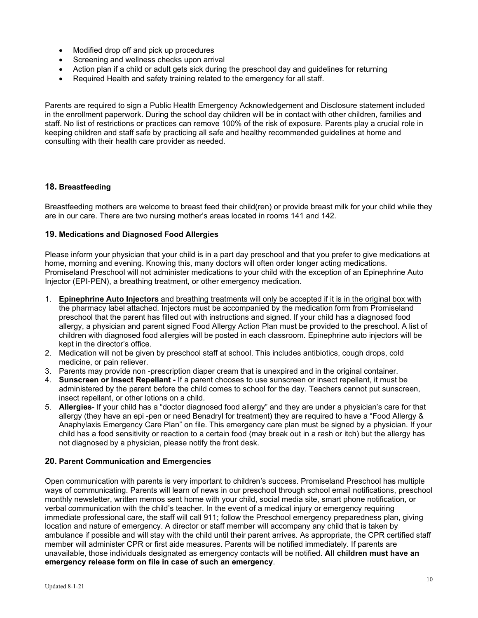- Modified drop off and pick up procedures
- Screening and wellness checks upon arrival
- Action plan if a child or adult gets sick during the preschool day and guidelines for returning
- Required Health and safety training related to the emergency for all staff.

Parents are required to sign a Public Health Emergency Acknowledgement and Disclosure statement included in the enrollment paperwork. During the school day children will be in contact with other children, families and staff. No list of restrictions or practices can remove 100% of the risk of exposure. Parents play a crucial role in keeping children and staff safe by practicing all safe and healthy recommended guidelines at home and consulting with their health care provider as needed.

## <span id="page-9-0"></span>**18. Breastfeeding**

Breastfeeding mothers are welcome to breast feed their child(ren) or provide breast milk for your child while they are in our care. There are two nursing mother's areas located in rooms 141 and 142.

## <span id="page-9-1"></span>**19. Medications and Diagnosed Food Allergies**

Please inform your physician that your child is in a part day preschool and that you prefer to give medications at home, morning and evening. Knowing this, many doctors will often order longer acting medications. Promiseland Preschool will not administer medications to your child with the exception of an Epinephrine Auto Injector (EPI-PEN), a breathing treatment, or other emergency medication.

- 1. **Epinephrine Auto Injectors** and breathing treatments will only be accepted if it is in the original box with the pharmacy label attached. Injectors must be accompanied by the medication form from Promiseland preschool that the parent has filled out with instructions and signed. If your child has a diagnosed food allergy, a physician and parent signed Food Allergy Action Plan must be provided to the preschool. A list of children with diagnosed food allergies will be posted in each classroom. Epinephrine auto injectors will be kept in the director's office.
- 2. Medication will not be given by preschool staff at school. This includes antibiotics, cough drops, cold medicine, or pain reliever.
- 3. Parents may provide non -prescription diaper cream that is unexpired and in the original container.
- 4. **Sunscreen or Insect Repellant -** If a parent chooses to use sunscreen or insect repellant, it must be administered by the parent before the child comes to school for the day. Teachers cannot put sunscreen, insect repellant, or other lotions on a child.
- 5. **Allergies** If your child has a "doctor diagnosed food allergy" and they are under a physician's care for that allergy (they have an epi -pen or need Benadryl for treatment) they are required to have a "Food Allergy & Anaphylaxis Emergency Care Plan" on file. This emergency care plan must be signed by a physician. If your child has a food sensitivity or reaction to a certain food (may break out in a rash or itch) but the allergy has not diagnosed by a physician, please notify the front desk.

## <span id="page-9-2"></span>**20. Parent Communication and Emergencies**

Open communication with parents is very important to children's success. Promiseland Preschool has multiple ways of communicating. Parents will learn of news in our preschool through school email notifications, preschool monthly newsletter, written memos sent home with your child, social media site, smart phone notification, or verbal communication with the child's teacher. In the event of a medical injury or emergency requiring immediate professional care, the staff will call 911; follow the Preschool emergency preparedness plan, giving location and nature of emergency. A director or staff member will accompany any child that is taken by ambulance if possible and will stay with the child until their parent arrives. As appropriate, the CPR certified staff member will administer CPR or first aide measures. Parents will be notified immediately. If parents are unavailable, those individuals designated as emergency contacts will be notified. **All children must have an emergency release form on file in case of such an emergency**.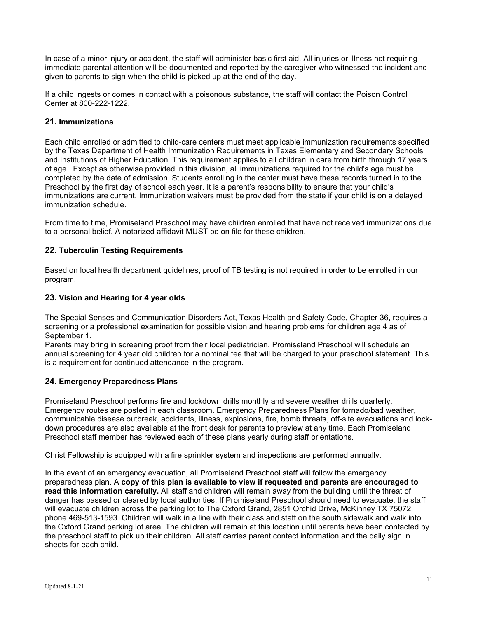In case of a minor injury or accident, the staff will administer basic first aid. All injuries or illness not requiring immediate parental attention will be documented and reported by the caregiver who witnessed the incident and given to parents to sign when the child is picked up at the end of the day.

If a child ingests or comes in contact with a poisonous substance, the staff will contact the Poison Control Center at 800-222-1222.

#### <span id="page-10-0"></span>**21. Immunizations**

Each child enrolled or admitted to child-care centers must meet applicable immunization requirements specified by the Texas Department of Health Immunization Requirements in Texas Elementary and Secondary Schools and Institutions of Higher Education. This requirement applies to all children in care from birth through 17 years of age. Except as otherwise provided in this division, all immunizations required for the child's age must be completed by the date of admission. Students enrolling in the center must have these records turned in to the Preschool by the first day of school each year. It is a parent's responsibility to ensure that your child's immunizations are current. Immunization waivers must be provided from the state if your child is on a delayed immunization schedule.

From time to time, Promiseland Preschool may have children enrolled that have not received immunizations due to a personal belief. A notarized affidavit MUST be on file for these children.

#### <span id="page-10-1"></span>**22. Tuberculin Testing Requirements**

Based on local health department guidelines, proof of TB testing is not required in order to be enrolled in our program.

#### <span id="page-10-2"></span>**23. Vision and Hearing for 4 year olds**

The Special Senses and Communication Disorders Act, Texas Health and Safety Code, Chapter 36, requires a screening or a professional examination for possible vision and hearing problems for children age 4 as of September 1.

Parents may bring in screening proof from their local pediatrician. Promiseland Preschool will schedule an annual screening for 4 year old children for a nominal fee that will be charged to your preschool statement. This is a requirement for continued attendance in the program.

## <span id="page-10-3"></span>**24. Emergency Preparedness Plans**

Promiseland Preschool performs fire and lockdown drills monthly and severe weather drills quarterly. Emergency routes are posted in each classroom. Emergency Preparedness Plans for tornado/bad weather, communicable disease outbreak, accidents, illness, explosions, fire, bomb threats, off-site evacuations and lockdown procedures are also available at the front desk for parents to preview at any time. Each Promiseland Preschool staff member has reviewed each of these plans yearly during staff orientations.

Christ Fellowship is equipped with a fire sprinkler system and inspections are performed annually.

In the event of an emergency evacuation, all Promiseland Preschool staff will follow the emergency preparedness plan. A **copy of this plan is available to view if requested and parents are encouraged to read this information carefully.** All staff and children will remain away from the building until the threat of danger has passed or cleared by local authorities. If Promiseland Preschool should need to evacuate, the staff will evacuate children across the parking lot to The Oxford Grand, 2851 Orchid Drive, McKinney TX 75072 phone 469-513-1593. Children will walk in a line with their class and staff on the south sidewalk and walk into the Oxford Grand parking lot area. The children will remain at this location until parents have been contacted by the preschool staff to pick up their children. All staff carries parent contact information and the daily sign in sheets for each child.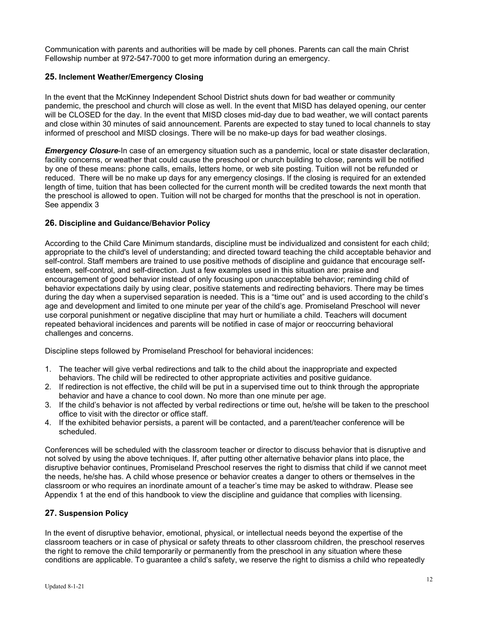Communication with parents and authorities will be made by cell phones. Parents can call the main Christ Fellowship number at 972-547-7000 to get more information during an emergency.

#### <span id="page-11-0"></span>**25. Inclement Weather/Emergency Closing**

In the event that the McKinney Independent School District shuts down for bad weather or community pandemic, the preschool and church will close as well. In the event that MISD has delayed opening, our center will be CLOSED for the day. In the event that MISD closes mid-day due to bad weather, we will contact parents and close within 30 minutes of said announcement. Parents are expected to stay tuned to local channels to stay informed of preschool and MISD closings. There will be no make-up days for bad weather closings.

*Emergency Closure*-In case of an emergency situation such as a pandemic, local or state disaster declaration, facility concerns, or weather that could cause the preschool or church building to close, parents will be notified by one of these means: phone calls, emails, letters home, or web site posting. Tuition will not be refunded or reduced. There will be no make up days for any emergency closings. If the closing is required for an extended length of time, tuition that has been collected for the current month will be credited towards the next month that the preschool is allowed to open. Tuition will not be charged for months that the preschool is not in operation. See appendix 3

#### <span id="page-11-1"></span>**26. Discipline and Guidance/Behavior Policy**

According to the Child Care Minimum standards, discipline must be individualized and consistent for each child; appropriate to the child's level of understanding; and directed toward teaching the child acceptable behavior and self-control. Staff members are trained to use positive methods of discipline and guidance that encourage selfesteem, self-control, and self-direction. Just a few examples used in this situation are: praise and encouragement of good behavior instead of only focusing upon unacceptable behavior; reminding child of behavior expectations daily by using clear, positive statements and redirecting behaviors. There may be times during the day when a supervised separation is needed. This is a "time out" and is used according to the child's age and development and limited to one minute per year of the child's age. Promiseland Preschool will never use corporal punishment or negative discipline that may hurt or humiliate a child. Teachers will document repeated behavioral incidences and parents will be notified in case of major or reoccurring behavioral challenges and concerns.

Discipline steps followed by Promiseland Preschool for behavioral incidences:

- 1. The teacher will give verbal redirections and talk to the child about the inappropriate and expected behaviors. The child will be redirected to other appropriate activities and positive guidance.
- 2. If redirection is not effective, the child will be put in a supervised time out to think through the appropriate behavior and have a chance to cool down. No more than one minute per age.
- 3. If the child's behavior is not affected by verbal redirections or time out, he/she will be taken to the preschool office to visit with the director or office staff.
- 4. If the exhibited behavior persists, a parent will be contacted, and a parent/teacher conference will be scheduled.

Conferences will be scheduled with the classroom teacher or director to discuss behavior that is disruptive and not solved by using the above techniques. If, after putting other alternative behavior plans into place, the disruptive behavior continues, Promiseland Preschool reserves the right to dismiss that child if we cannot meet the needs, he/she has. A child whose presence or behavior creates a danger to others or themselves in the classroom or who requires an inordinate amount of a teacher's time may be asked to withdraw. Please see Appendix 1 at the end of this handbook to view the discipline and guidance that complies with licensing.

## <span id="page-11-2"></span>**27. Suspension Policy**

In the event of disruptive behavior, emotional, physical, or intellectual needs beyond the expertise of the classroom teachers or in case of physical or safety threats to other classroom children, the preschool reserves the right to remove the child temporarily or permanently from the preschool in any situation where these conditions are applicable. To guarantee a child's safety, we reserve the right to dismiss a child who repeatedly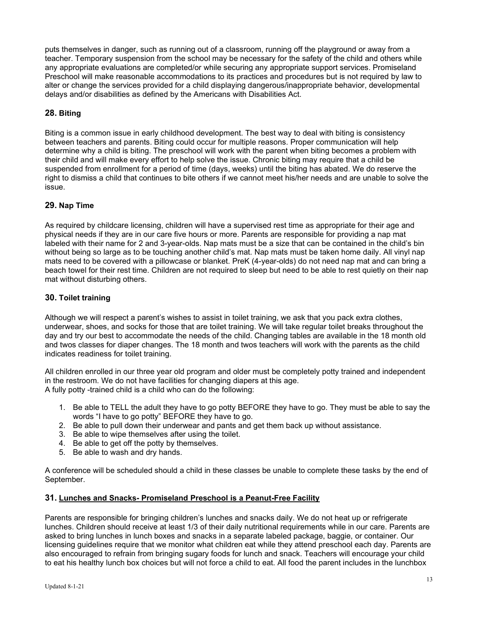puts themselves in danger, such as running out of a classroom, running off the playground or away from a teacher. Temporary suspension from the school may be necessary for the safety of the child and others while any appropriate evaluations are completed/or while securing any appropriate support services. Promiseland Preschool will make reasonable accommodations to its practices and procedures but is not required by law to alter or change the services provided for a child displaying dangerous/inappropriate behavior, developmental delays and/or disabilities as defined by the Americans with Disabilities Act.

# <span id="page-12-0"></span>**28. Biting**

Biting is a common issue in early childhood development. The best way to deal with biting is consistency between teachers and parents. Biting could occur for multiple reasons. Proper communication will help determine why a child is biting. The preschool will work with the parent when biting becomes a problem with their child and will make every effort to help solve the issue. Chronic biting may require that a child be suspended from enrollment for a period of time (days, weeks) until the biting has abated. We do reserve the right to dismiss a child that continues to bite others if we cannot meet his/her needs and are unable to solve the issue.

## <span id="page-12-1"></span>**29. Nap Time**

As required by childcare licensing, children will have a supervised rest time as appropriate for their age and physical needs if they are in our care five hours or more. Parents are responsible for providing a nap mat labeled with their name for 2 and 3-year-olds. Nap mats must be a size that can be contained in the child's bin without being so large as to be touching another child's mat. Nap mats must be taken home daily. All vinyl nap mats need to be covered with a pillowcase or blanket. PreK (4-year-olds) do not need nap mat and can bring a beach towel for their rest time. Children are not required to sleep but need to be able to rest quietly on their nap mat without disturbing others.

# <span id="page-12-2"></span>**30. Toilet training**

Although we will respect a parent's wishes to assist in toilet training, we ask that you pack extra clothes, underwear, shoes, and socks for those that are toilet training. We will take regular toilet breaks throughout the day and try our best to accommodate the needs of the child. Changing tables are available in the 18 month old and twos classes for diaper changes. The 18 month and twos teachers will work with the parents as the child indicates readiness for toilet training.

All children enrolled in our three year old program and older must be completely potty trained and independent in the restroom. We do not have facilities for changing diapers at this age. A fully potty -trained child is a child who can do the following:

- 1. Be able to TELL the adult they have to go potty BEFORE they have to go. They must be able to say the words "I have to go potty" BEFORE they have to go.
- 2. Be able to pull down their underwear and pants and get them back up without assistance.
- 3. Be able to wipe themselves after using the toilet.
- 4. Be able to get off the potty by themselves.
- 5. Be able to wash and dry hands.

A conference will be scheduled should a child in these classes be unable to complete these tasks by the end of September.

## <span id="page-12-3"></span>**31. Lunches and Snacks- Promiseland Preschool is a Peanut-Free Facility**

Parents are responsible for bringing children's lunches and snacks daily. We do not heat up or refrigerate lunches. Children should receive at least 1/3 of their daily nutritional requirements while in our care. Parents are asked to bring lunches in lunch boxes and snacks in a separate labeled package, baggie, or container. Our licensing guidelines require that we monitor what children eat while they attend preschool each day. Parents are also encouraged to refrain from bringing sugary foods for lunch and snack. Teachers will encourage your child to eat his healthy lunch box choices but will not force a child to eat. All food the parent includes in the lunchbox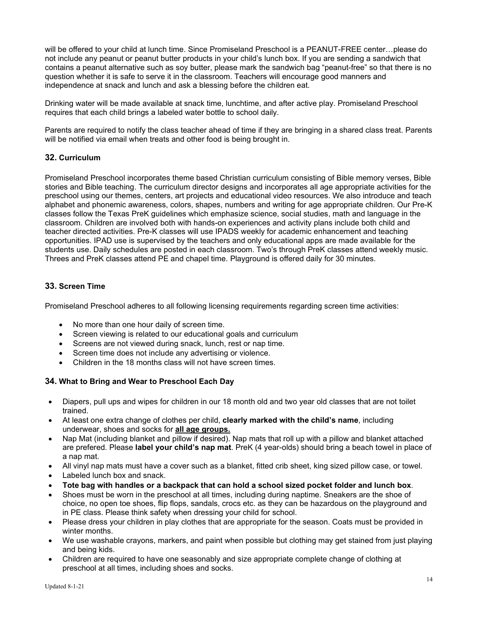will be offered to your child at lunch time. Since Promiseland Preschool is a PEANUT-FREE center…please do not include any peanut or peanut butter products in your child's lunch box. If you are sending a sandwich that contains a peanut alternative such as soy butter, please mark the sandwich bag "peanut-free" so that there is no question whether it is safe to serve it in the classroom. Teachers will encourage good manners and independence at snack and lunch and ask a blessing before the children eat.

Drinking water will be made available at snack time, lunchtime, and after active play. Promiseland Preschool requires that each child brings a labeled water bottle to school daily.

Parents are required to notify the class teacher ahead of time if they are bringing in a shared class treat. Parents will be notified via email when treats and other food is being brought in.

#### <span id="page-13-0"></span>**32. Curriculum**

Promiseland Preschool incorporates theme based Christian curriculum consisting of Bible memory verses, Bible stories and Bible teaching. The curriculum director designs and incorporates all age appropriate activities for the preschool using our themes, centers, art projects and educational video resources. We also introduce and teach alphabet and phonemic awareness, colors, shapes, numbers and writing for age appropriate children. Our Pre-K classes follow the Texas PreK guidelines which emphasize science, social studies, math and language in the classroom. Children are involved both with hands-on experiences and activity plans include both child and teacher directed activities. Pre-K classes will use IPADS weekly for academic enhancement and teaching opportunities. IPAD use is supervised by the teachers and only educational apps are made available for the students use. Daily schedules are posted in each classroom. Two's through PreK classes attend weekly music. Threes and PreK classes attend PE and chapel time. Playground is offered daily for 30 minutes.

#### <span id="page-13-1"></span>**33. Screen Time**

Promiseland Preschool adheres to all following licensing requirements regarding screen time activities:

- No more than one hour daily of screen time.
- Screen viewing is related to our educational goals and curriculum
- Screens are not viewed during snack, lunch, rest or nap time.
- Screen time does not include any advertising or violence.
- Children in the 18 months class will not have screen times.

#### <span id="page-13-2"></span>**34. What to Bring and Wear to Preschool Each Day**

- Diapers, pull ups and wipes for children in our 18 month old and two year old classes that are not toilet trained.
- At least one extra change of clothes per child, **clearly marked with the child's name**, including underwear, shoes and socks for **all age groups.**
- Nap Mat (including blanket and pillow if desired). Nap mats that roll up with a pillow and blanket attached are prefered. Please **label your child's nap mat**. PreK (4 year-olds) should bring a beach towel in place of a nap mat.
- All vinyl nap mats must have a cover such as a blanket, fitted crib sheet, king sized pillow case, or towel.
- Labeled lunch box and snack.
- **Tote bag with handles or a backpack that can hold a school sized pocket folder and lunch box**.
- Shoes must be worn in the preschool at all times, including during naptime. Sneakers are the shoe of choice, no open toe shoes, flip flops, sandals, crocs etc. as they can be hazardous on the playground and in PE class. Please think safety when dressing your child for school.
- Please dress your children in play clothes that are appropriate for the season. Coats must be provided in winter months.
- We use washable crayons, markers, and paint when possible but clothing may get stained from just playing and being kids.
- Children are required to have one seasonably and size appropriate complete change of clothing at preschool at all times, including shoes and socks.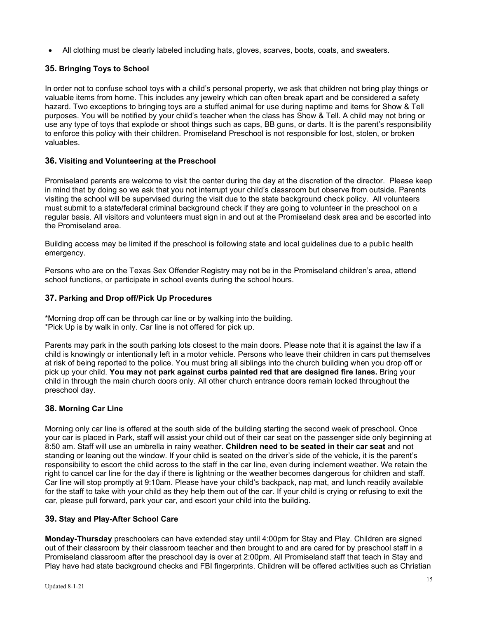• All clothing must be clearly labeled including hats, gloves, scarves, boots, coats, and sweaters.

# <span id="page-14-0"></span>**35. Bringing Toys to School**

In order not to confuse school toys with a child's personal property, we ask that children not bring play things or valuable items from home. This includes any jewelry which can often break apart and be considered a safety hazard. Two exceptions to bringing toys are a stuffed animal for use during naptime and items for Show & Tell purposes. You will be notified by your child's teacher when the class has Show & Tell. A child may not bring or use any type of toys that explode or shoot things such as caps, BB guns, or darts. It is the parent's responsibility to enforce this policy with their children. Promiseland Preschool is not responsible for lost, stolen, or broken valuables.

## <span id="page-14-1"></span>**36. Visiting and Volunteering at the Preschool**

Promiseland parents are welcome to visit the center during the day at the discretion of the director. Please keep in mind that by doing so we ask that you not interrupt your child's classroom but observe from outside. Parents visiting the school will be supervised during the visit due to the state background check policy. All volunteers must submit to a state/federal criminal background check if they are going to volunteer in the preschool on a regular basis. All visitors and volunteers must sign in and out at the Promiseland desk area and be escorted into the Promiseland area.

Building access may be limited if the preschool is following state and local guidelines due to a public health emergency.

Persons who are on the Texas Sex Offender Registry may not be in the Promiseland children's area, attend school functions, or participate in school events during the school hours.

## <span id="page-14-2"></span>**37. Parking and Drop off/Pick Up Procedures**

\*Morning drop off can be through car line or by walking into the building. \*Pick Up is by walk in only. Car line is not offered for pick up.

Parents may park in the south parking lots closest to the main doors. Please note that it is against the law if a child is knowingly or intentionally left in a motor vehicle. Persons who leave their children in cars put themselves at risk of being reported to the police. You must bring all siblings into the church building when you drop off or pick up your child. **You may not park against curbs painted red that are designed fire lanes.** Bring your child in through the main church doors only. All other church entrance doors remain locked throughout the preschool day.

## <span id="page-14-3"></span>**38. Morning Car Line**

Morning only car line is offered at the south side of the building starting the second week of preschool. Once your car is placed in Park, staff will assist your child out of their car seat on the passenger side only beginning at 8:50 am. Staff will use an umbrella in rainy weather. **Children need to be seated in their car seat** and not standing or leaning out the window. If your child is seated on the driver's side of the vehicle, it is the parent's responsibility to escort the child across to the staff in the car line, even during inclement weather. We retain the right to cancel car line for the day if there is lightning or the weather becomes dangerous for children and staff. Car line will stop promptly at 9:10am. Please have your child's backpack, nap mat, and lunch readily available for the staff to take with your child as they help them out of the car. If your child is crying or refusing to exit the car, please pull forward, park your car, and escort your child into the building.

## <span id="page-14-4"></span>**39. Stay and Play-After School Care**

**Monday-Thursday** preschoolers can have extended stay until 4:00pm for Stay and Play. Children are signed out of their classroom by their classroom teacher and then brought to and are cared for by preschool staff in a Promiseland classroom after the preschool day is over at 2:00pm. All Promiseland staff that teach in Stay and Play have had state background checks and FBI fingerprints. Children will be offered activities such as Christian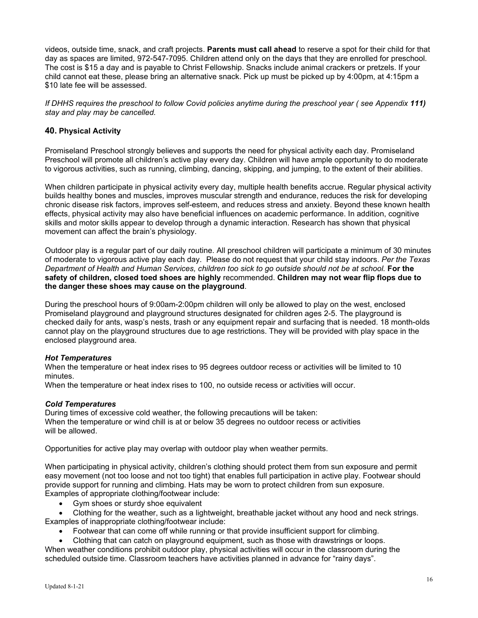videos, outside time, snack, and craft projects. **Parents must call ahead** to reserve a spot for their child for that day as spaces are limited, 972-547-7095. Children attend only on the days that they are enrolled for preschool. The cost is \$15 a day and is payable to Christ Fellowship. Snacks include animal crackers or pretzels. If your child cannot eat these, please bring an alternative snack. Pick up must be picked up by 4:00pm, at 4:15pm a \$10 late fee will be assessed.

*If DHHS requires the preschool to follow Covid policies anytime during the preschool year ( see Appendix 111) stay and play may be cancelled.*

## <span id="page-15-0"></span>**40. Physical Activity**

Promiseland Preschool strongly believes and supports the need for physical activity each day. Promiseland Preschool will promote all children's active play every day. Children will have ample opportunity to do moderate to vigorous activities, such as running, climbing, dancing, skipping, and jumping, to the extent of their abilities.

When children participate in physical activity every day, multiple health benefits accrue. Regular physical activity builds healthy bones and muscles, improves muscular strength and endurance, reduces the risk for developing chronic disease risk factors, improves self-esteem, and reduces stress and anxiety. Beyond these known health effects, physical activity may also have beneficial influences on academic performance. In addition, cognitive skills and motor skills appear to develop through a dynamic interaction. Research has shown that physical movement can affect the brain's physiology.

Outdoor play is a regular part of our daily routine. All preschool children will participate a minimum of 30 minutes of moderate to vigorous active play each day. Please do not request that your child stay indoors. *Per the Texas Department of Health and Human Services, children too sick to go outside should not be at school.* **For the safety of children, closed toed shoes are highly** recommended. **Children may not wear flip flops due to the danger these shoes may cause on the playground**.

During the preschool hours of 9:00am-2:00pm children will only be allowed to play on the west, enclosed Promiseland playground and playground structures designated for children ages 2-5. The playground is checked daily for ants, wasp's nests, trash or any equipment repair and surfacing that is needed. 18 month-olds cannot play on the playground structures due to age restrictions. They will be provided with play space in the enclosed playground area.

#### *Hot Temperatures*

When the temperature or heat index rises to 95 degrees outdoor recess or activities will be limited to 10 minutes.

When the temperature or heat index rises to 100, no outside recess or activities will occur.

#### *Cold Temperatures*

During times of excessive cold weather, the following precautions will be taken: When the temperature or wind chill is at or below 35 degrees no outdoor recess or activities will be allowed.

Opportunities for active play may overlap with outdoor play when weather permits.

When participating in physical activity, children's clothing should protect them from sun exposure and permit easy movement (not too loose and not too tight) that enables full participation in active play. Footwear should provide support for running and climbing. Hats may be worn to protect children from sun exposure. Examples of appropriate clothing/footwear include:

- Gym shoes or sturdy shoe equivalent
- Clothing for the weather, such as a lightweight, breathable jacket without any hood and neck strings. Examples of inappropriate clothing/footwear include:
	- Footwear that can come off while running or that provide insufficient support for climbing.
	- Clothing that can catch on playground equipment, such as those with drawstrings or loops.

When weather conditions prohibit outdoor play, physical activities will occur in the classroom during the scheduled outside time. Classroom teachers have activities planned in advance for "rainy days".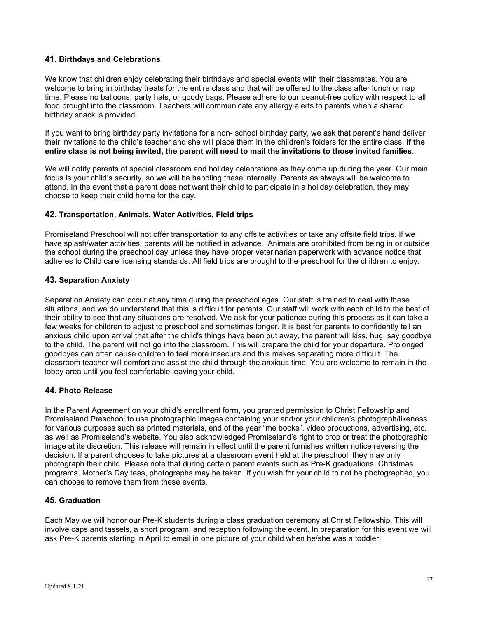#### <span id="page-16-0"></span>**41. Birthdays and Celebrations**

We know that children enjoy celebrating their birthdays and special events with their classmates. You are welcome to bring in birthday treats for the entire class and that will be offered to the class after lunch or nap time. Please no balloons, party hats, or goody bags. Please adhere to our peanut-free policy with respect to all food brought into the classroom. Teachers will communicate any allergy alerts to parents when a shared birthday snack is provided.

If you want to bring birthday party invitations for a non- school birthday party, we ask that parent's hand deliver their invitations to the child's teacher and she will place them in the children's folders for the entire class. **If the entire class is not being invited, the parent will need to mail the invitations to those invited families**.

We will notify parents of special classroom and holiday celebrations as they come up during the year. Our main focus is your child's security, so we will be handling these internally. Parents as always will be welcome to attend. In the event that a parent does not want their child to participate in a holiday celebration, they may choose to keep their child home for the day.

#### <span id="page-16-1"></span>**42. Transportation, Animals, Water Activities, Field trips**

Promiseland Preschool will not offer transportation to any offsite activities or take any offsite field trips. If we have splash/water activities, parents will be notified in advance. Animals are prohibited from being in or outside the school during the preschool day unless they have proper veterinarian paperwork with advance notice that adheres to Child care licensing standards. All field trips are brought to the preschool for the children to enjoy.

#### <span id="page-16-2"></span>**43. Separation Anxiety**

Separation Anxiety can occur at any time during the preschool ages. Our staff is trained to deal with these situations, and we do understand that this is difficult for parents. Our staff will work with each child to the best of their ability to see that any situations are resolved. We ask for your patience during this process as it can take a few weeks for children to adjust to preschool and sometimes longer. It is best for parents to confidently tell an anxious child upon arrival that after the child's things have been put away, the parent will kiss, hug, say goodbye to the child. The parent will not go into the classroom. This will prepare the child for your departure. Prolonged goodbyes can often cause children to feel more insecure and this makes separating more difficult. The classroom teacher will comfort and assist the child through the anxious time. You are welcome to remain in the lobby area until you feel comfortable leaving your child.

#### <span id="page-16-3"></span>**44. Photo Release**

In the Parent Agreement on your child's enrollment form, you granted permission to Christ Fellowship and Promiseland Preschool to use photographic images containing your and/or your children's photograph/likeness for various purposes such as printed materials, end of the year "me books", video productions, advertising, etc. as well as Promiseland's website. You also acknowledged Promiseland's right to crop or treat the photographic image at its discretion. This release will remain in effect until the parent furnishes written notice reversing the decision. If a parent chooses to take pictures at a classroom event held at the preschool, they may only photograph their child. Please note that during certain parent events such as Pre-K graduations, Christmas programs, Mother's Day teas, photographs may be taken. If you wish for your child to not be photographed, you can choose to remove them from these events.

## <span id="page-16-4"></span>**45. Graduation**

Each May we will honor our Pre-K students during a class graduation ceremony at Christ Fellowship. This will involve caps and tassels, a short program, and reception following the event. In preparation for this event we will ask Pre-K parents starting in April to email in one picture of your child when he/she was a toddler.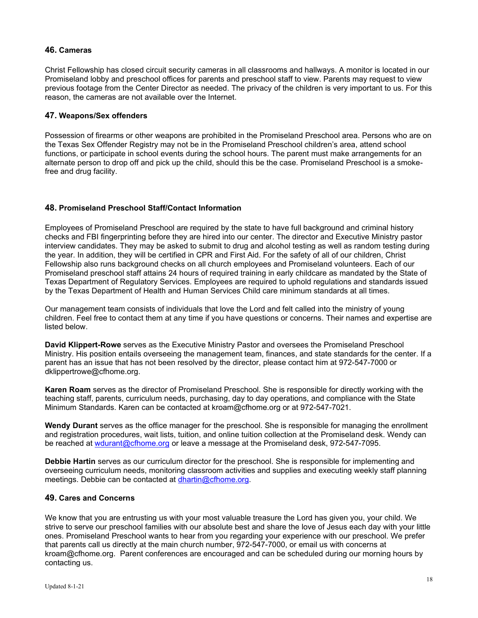#### <span id="page-17-0"></span>**46. Cameras**

Christ Fellowship has closed circuit security cameras in all classrooms and hallways. A monitor is located in our Promiseland lobby and preschool offices for parents and preschool staff to view. Parents may request to view previous footage from the Center Director as needed. The privacy of the children is very important to us. For this reason, the cameras are not available over the Internet.

#### <span id="page-17-1"></span>**47. Weapons/Sex offenders**

Possession of firearms or other weapons are prohibited in the Promiseland Preschool area. Persons who are on the Texas Sex Offender Registry may not be in the Promiseland Preschool children's area, attend school functions, or participate in school events during the school hours. The parent must make arrangements for an alternate person to drop off and pick up the child, should this be the case. Promiseland Preschool is a smokefree and drug facility.

## <span id="page-17-2"></span>**48. Promiseland Preschool Staff/Contact Information**

Employees of Promiseland Preschool are required by the state to have full background and criminal history checks and FBI fingerprinting before they are hired into our center. The director and Executive Ministry pastor interview candidates. They may be asked to submit to drug and alcohol testing as well as random testing during the year. In addition, they will be certified in CPR and First Aid. For the safety of all of our children, Christ Fellowship also runs background checks on all church employees and Promiseland volunteers. Each of our Promiseland preschool staff attains 24 hours of required training in early childcare as mandated by the State of Texas Department of Regulatory Services. Employees are required to uphold regulations and standards issued by the Texas Department of Health and Human Services Child care minimum standards at all times.

Our management team consists of individuals that love the Lord and felt called into the ministry of young children. Feel free to contact them at any time if you have questions or concerns. Their names and expertise are listed below.

**David Klippert-Rowe** serves as the Executive Ministry Pastor and oversees the Promiseland Preschool Ministry. His position entails overseeing the management team, finances, and state standards for the center. If a parent has an issue that has not been resolved by the director, please contact him at 972-547-7000 or dklippertrowe@cfhome.org.

**Karen Roam** serves as the director of Promiseland Preschool. She is responsible for directly working with the teaching staff, parents, curriculum needs, purchasing, day to day operations, and compliance with the State Minimum Standards. Karen can be contacted at kroam@cfhome.org or at 972-547-7021.

**Wendy Durant** serves as the office manager for the preschool. She is responsible for managing the enrollment and registration procedures, wait lists, tuition, and online tuition collection at the Promiseland desk. Wendy can be reached at [wdurant@cfhome.org](mailto:wdurant@cfhome.org) or leave a message at the Promiseland desk, 972-547-7095.

**Debbie Hartin** serves as our curriculum director for the preschool. She is responsible for implementing and overseeing curriculum needs, monitoring classroom activities and supplies and executing weekly staff planning meetings. Debbie can be contacted at [dhartin@cfhome.org.](mailto:dhartin@cfhome.org)

#### <span id="page-17-3"></span>**49. Cares and Concerns**

We know that you are entrusting us with your most valuable treasure the Lord has given you, your child. We strive to serve our preschool families with our absolute best and share the love of Jesus each day with your little ones. Promiseland Preschool wants to hear from you regarding your experience with our preschool. We prefer that parents call us directly at the main church number, 972-547-7000, or email us with concerns at kroam@cfhome.org. Parent conferences are encouraged and can be scheduled during our morning hours by contacting us.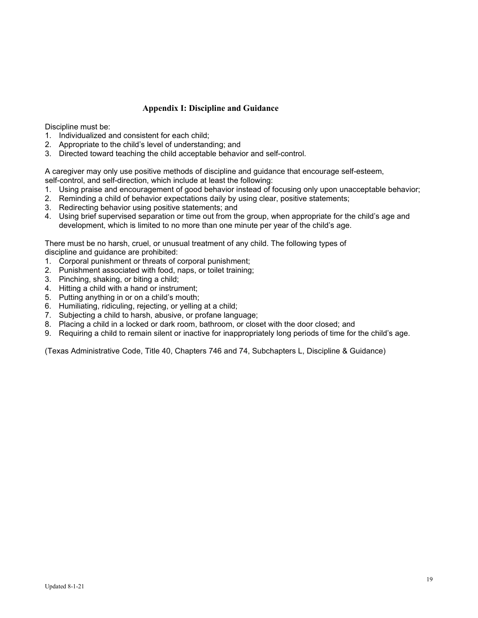## <span id="page-18-0"></span>**Appendix I: Discipline and Guidance**

Discipline must be:

- 1. Individualized and consistent for each child;
- 2. Appropriate to the child's level of understanding; and
- 3. Directed toward teaching the child acceptable behavior and self-control.

A caregiver may only use positive methods of discipline and guidance that encourage self-esteem, self-control, and self-direction, which include at least the following:

- 1. Using praise and encouragement of good behavior instead of focusing only upon unacceptable behavior;
- 2. Reminding a child of behavior expectations daily by using clear, positive statements;
- 3. Redirecting behavior using positive statements; and
- 4. Using brief supervised separation or time out from the group, when appropriate for the child's age and development, which is limited to no more than one minute per year of the child's age.

There must be no harsh, cruel, or unusual treatment of any child. The following types of discipline and guidance are prohibited:

- 1. Corporal punishment or threats of corporal punishment;
- 2. Punishment associated with food, naps, or toilet training;
- 3. Pinching, shaking, or biting a child;
- 4. Hitting a child with a hand or instrument;
- 5. Putting anything in or on a child's mouth;
- 6. Humiliating, ridiculing, rejecting, or yelling at a child;
- 7. Subjecting a child to harsh, abusive, or profane language;
- 8. Placing a child in a locked or dark room, bathroom, or closet with the door closed; and
- 9. Requiring a child to remain silent or inactive for inappropriately long periods of time for the child's age.

(Texas Administrative Code, Title 40, Chapters 746 and 74, Subchapters L, Discipline & Guidance)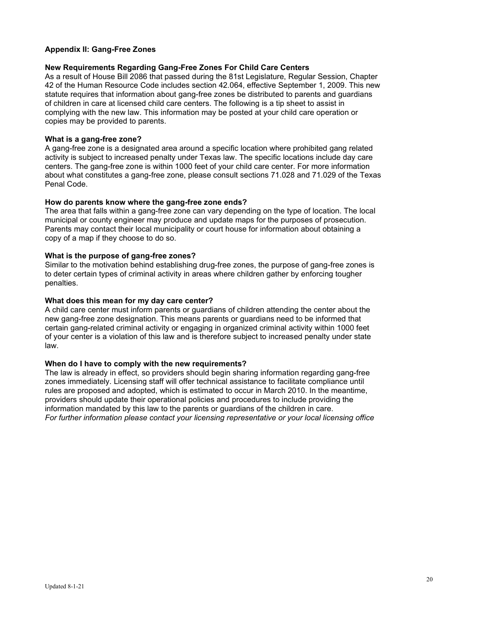#### <span id="page-19-0"></span>**Appendix II: Gang-Free Zones**

#### **New Requirements Regarding Gang-Free Zones For Child Care Centers**

As a result of House Bill 2086 that passed during the 81st Legislature, Regular Session, Chapter 42 of the Human Resource Code includes section 42.064, effective September 1, 2009. This new statute requires that information about gang-free zones be distributed to parents and guardians of children in care at licensed child care centers. The following is a tip sheet to assist in complying with the new law. This information may be posted at your child care operation or copies may be provided to parents.

#### **What is a gang-free zone?**

A gang-free zone is a designated area around a specific location where prohibited gang related activity is subject to increased penalty under Texas law. The specific locations include day care centers. The gang-free zone is within 1000 feet of your child care center. For more information about what constitutes a gang-free zone, please consult sections 71.028 and 71.029 of the Texas Penal Code.

#### **How do parents know where the gang-free zone ends?**

The area that falls within a gang-free zone can vary depending on the type of location. The local municipal or county engineer may produce and update maps for the purposes of prosecution. Parents may contact their local municipality or court house for information about obtaining a copy of a map if they choose to do so.

#### **What is the purpose of gang-free zones?**

Similar to the motivation behind establishing drug-free zones, the purpose of gang-free zones is to deter certain types of criminal activity in areas where children gather by enforcing tougher penalties.

#### **What does this mean for my day care center?**

A child care center must inform parents or guardians of children attending the center about the new gang-free zone designation. This means parents or guardians need to be informed that certain gang-related criminal activity or engaging in organized criminal activity within 1000 feet of your center is a violation of this law and is therefore subject to increased penalty under state law.

#### **When do I have to comply with the new requirements?**

The law is already in effect, so providers should begin sharing information regarding gang-free zones immediately. Licensing staff will offer technical assistance to facilitate compliance until rules are proposed and adopted, which is estimated to occur in March 2010. In the meantime, providers should update their operational policies and procedures to include providing the information mandated by this law to the parents or guardians of the children in care. *For further information please contact your licensing representative or your local licensing office*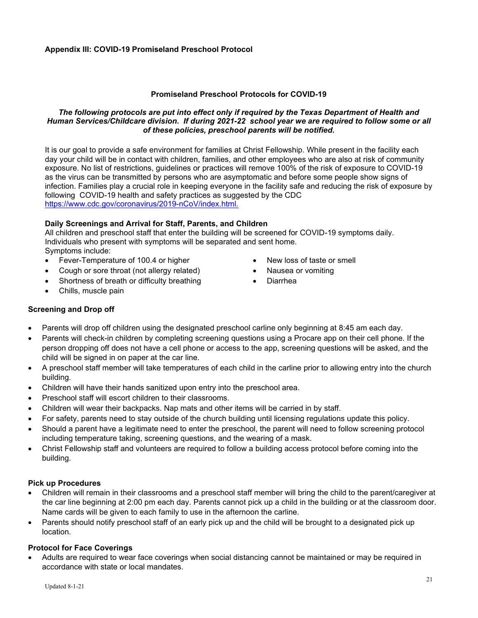## **Promiseland Preschool Protocols for COVID-19**

#### <span id="page-20-0"></span>*The following protocols are put into effect only if required by the Texas Department of Health and Human Services/Childcare division. If during 2021-22 school year we are required to follow some or all of these policies, preschool parents will be notified.*

It is our goal to provide a safe environment for families at Christ Fellowship. While present in the facility each day your child will be in contact with children, families, and other employees who are also at risk of community exposure. No list of restrictions, guidelines or practices will remove 100% of the risk of exposure to COVID-19 as the virus can be transmitted by persons who are asymptomatic and before some people show signs of infection. Families play a crucial role in keeping everyone in the facility safe and reducing the risk of exposure by following COVID-19 health and safety practices as suggested by the CDC [https://www.cdc.gov/coronavirus/2019-nCoV/index.html.](https://www.cdc.gov/coronavirus/2019-nCoV/index.html)

## **Daily Screenings and Arrival for Staff, Parents, and Children**

All children and preschool staff that enter the building will be screened for COVID-19 symptoms daily. Individuals who present with symptoms will be separated and sent home. Symptoms include:

- Fever-Temperature of 100.4 or higher
- Cough or sore throat (not allergy related)
- Shortness of breath or difficulty breathing
- Chills, muscle pain
- New loss of taste or smell
- Nausea or vomiting
- Diarrhea

## **Screening and Drop off**

- Parents will drop off children using the designated preschool carline only beginning at 8:45 am each day.
- Parents will check-in children by completing screening questions using a Procare app on their cell phone. If the person dropping off does not have a cell phone or access to the app, screening questions will be asked, and the child will be signed in on paper at the car line.
- A preschool staff member will take temperatures of each child in the carline prior to allowing entry into the church building.
- Children will have their hands sanitized upon entry into the preschool area.
- Preschool staff will escort children to their classrooms.
- Children will wear their backpacks. Nap mats and other items will be carried in by staff.
- For safety, parents need to stay outside of the church building until licensing regulations update this policy.
- Should a parent have a legitimate need to enter the preschool, the parent will need to follow screening protocol including temperature taking, screening questions, and the wearing of a mask.
- Christ Fellowship staff and volunteers are required to follow a building access protocol before coming into the building.

#### **Pick up Procedures**

- Children will remain in their classrooms and a preschool staff member will bring the child to the parent/caregiver at the car line beginning at 2:00 pm each day. Parents cannot pick up a child in the building or at the classroom door. Name cards will be given to each family to use in the afternoon the carline.
- Parents should notify preschool staff of an early pick up and the child will be brought to a designated pick up location.

## **Protocol for Face Coverings**

• Adults are required to wear face coverings when social distancing cannot be maintained or may be required in accordance with state or local mandates.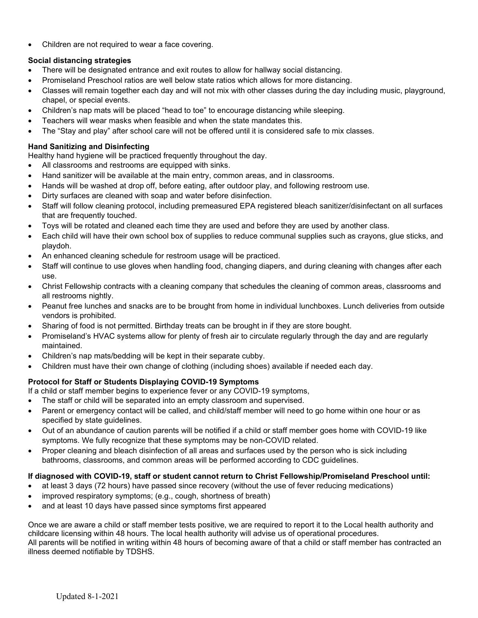• Children are not required to wear a face covering.

## **Social distancing strategies**

- There will be designated entrance and exit routes to allow for hallway social distancing.
- Promiseland Preschool ratios are well below state ratios which allows for more distancing.
- Classes will remain together each day and will not mix with other classes during the day including music, playground, chapel, or special events.
- Children's nap mats will be placed "head to toe" to encourage distancing while sleeping.
- Teachers will wear masks when feasible and when the state mandates this.
- The "Stay and play" after school care will not be offered until it is considered safe to mix classes.

# **Hand Sanitizing and Disinfecting**

Healthy hand hygiene will be practiced frequently throughout the day.

- All classrooms and restrooms are equipped with sinks.
- Hand sanitizer will be available at the main entry, common areas, and in classrooms.
- Hands will be washed at drop off, before eating, after outdoor play, and following restroom use.
- Dirty surfaces are cleaned with soap and water before disinfection.
- Staff will follow cleaning protocol, including premeasured EPA registered bleach sanitizer/disinfectant on all surfaces that are frequently touched.
- Toys will be rotated and cleaned each time they are used and before they are used by another class.
- Each child will have their own school box of supplies to reduce communal supplies such as crayons, glue sticks, and playdoh.
- An enhanced cleaning schedule for restroom usage will be practiced.
- Staff will continue to use gloves when handling food, changing diapers, and during cleaning with changes after each use.
- Christ Fellowship contracts with a cleaning company that schedules the cleaning of common areas, classrooms and all restrooms nightly.
- Peanut free lunches and snacks are to be brought from home in individual lunchboxes. Lunch deliveries from outside vendors is prohibited.
- Sharing of food is not permitted. Birthday treats can be brought in if they are store bought.
- Promiseland's HVAC systems allow for plenty of fresh air to circulate regularly through the day and are regularly maintained.
- Children's nap mats/bedding will be kept in their separate cubby.
- Children must have their own change of clothing (including shoes) available if needed each day.

# **Protocol for Staff or Students Displaying COVID-19 Symptoms**

If a child or staff member begins to experience fever or any COVID-19 symptoms,

- The staff or child will be separated into an empty classroom and supervised.
- Parent or emergency contact will be called, and child/staff member will need to go home within one hour or as specified by state guidelines.
- Out of an abundance of caution parents will be notified if a child or staff member goes home with COVID-19 like symptoms. We fully recognize that these symptoms may be non-COVID related.
- Proper cleaning and bleach disinfection of all areas and surfaces used by the person who is sick including bathrooms, classrooms, and common areas will be performed according to CDC guidelines.

# **If diagnosed with COVID-19, staff or student cannot return to Christ Fellowship/Promiseland Preschool until:**

- at least 3 days (72 hours) have passed since recovery (without the use of fever reducing medications)
- improved respiratory symptoms; (e.g., cough, shortness of breath)
- and at least 10 days have passed since symptoms first appeared

Once we are aware a child or staff member tests positive, we are required to report it to the Local health authority and childcare licensing within 48 hours. The local health authority will advise us of operational procedures. All parents will be notified in writing within 48 hours of becoming aware of that a child or staff member has contracted an illness deemed notifiable by TDSHS.